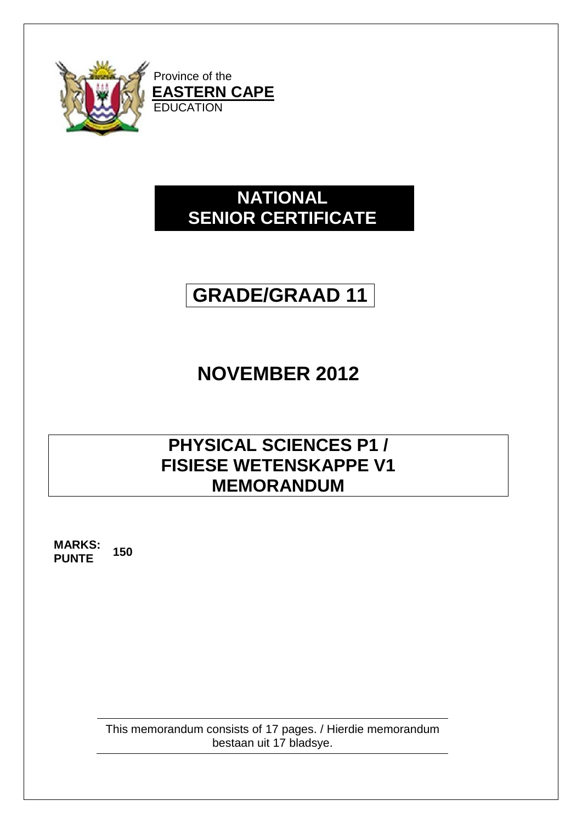

## **NATIONAL SENIOR CERTIFICATE**

# **GRADE/GRAAD 11**

# **NOVEMBER 2012**

### **PHYSICAL SCIENCES P1 / FISIESE WETENSKAPPE V1 MEMORANDUM**

**MARKS: PUNTE <sup>150</sup>**

> This memorandum consists of 17 pages. / Hierdie memorandum bestaan uit 17 bladsye.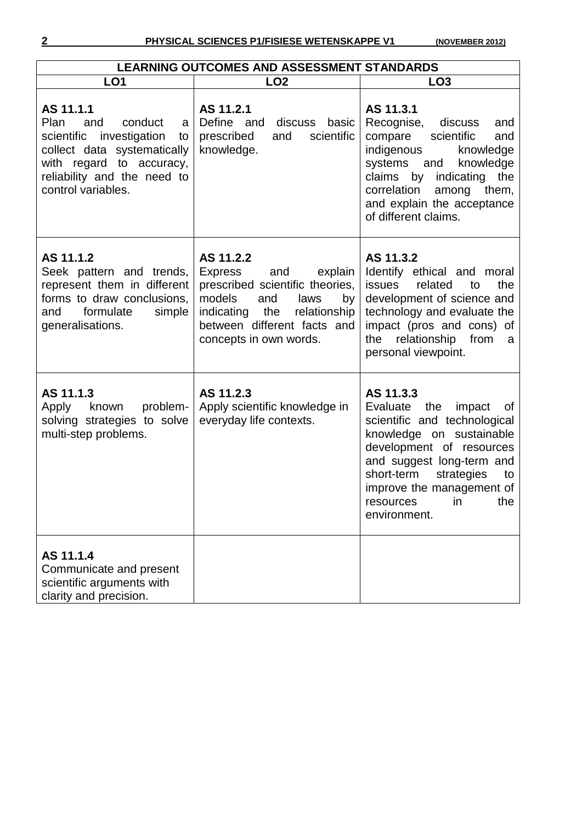| <b>LEARNING OUTCOMES AND ASSESSMENT STANDARDS</b>                                                                                                                                             |                                                                                                                                                                                                               |                                                                                                                                                                                                                                                                            |  |  |
|-----------------------------------------------------------------------------------------------------------------------------------------------------------------------------------------------|---------------------------------------------------------------------------------------------------------------------------------------------------------------------------------------------------------------|----------------------------------------------------------------------------------------------------------------------------------------------------------------------------------------------------------------------------------------------------------------------------|--|--|
| LO <sub>1</sub>                                                                                                                                                                               | LO <sub>2</sub>                                                                                                                                                                                               | LO <sub>3</sub>                                                                                                                                                                                                                                                            |  |  |
| AS 11.1.1<br>conduct<br>Plan<br>and<br>a<br>scientific investigation<br>to<br>collect data systematically<br>with regard<br>to accuracy,<br>reliability and the need to<br>control variables. | AS 11.2.1<br>Define and<br>discuss basic<br>prescribed<br>scientific<br>and<br>knowledge.                                                                                                                     | AS 11.3.1<br>Recognise,<br>discuss<br>and<br>scientific<br>compare<br>and<br>indigenous<br>knowledge<br>systems<br>knowledge<br>and<br>indicating the<br>claims by<br>correlation<br>among<br>them,<br>and explain the acceptance<br>of different claims.                  |  |  |
| AS 11.1.2<br>Seek pattern and trends,<br>represent them in different<br>forms to draw conclusions,<br>formulate<br>simple<br>and<br>generalisations.                                          | AS 11.2.2<br><b>Express</b><br>and<br>explain<br>prescribed scientific theories,<br>models<br>and<br>laws<br>by<br>indicating<br>the<br>relationship<br>between different facts and<br>concepts in own words. | AS 11.3.2<br>Identify ethical and moral<br>the<br><b>issues</b><br>related<br>to<br>development of science and<br>technology and evaluate the<br>impact (pros and cons) of<br>relationship<br>from<br>the<br>- a<br>personal viewpoint.                                    |  |  |
| AS 11.1.3<br>problem-<br>Apply<br>known<br>solving strategies to solve<br>multi-step problems.                                                                                                | AS 11.2.3<br>Apply scientific knowledge in<br>everyday life contexts.                                                                                                                                         | AS 11.3.3<br>the<br>Evaluate<br>impact<br>of<br>scientific and technological<br>knowledge on sustainable<br>development of resources<br>and suggest long-term and<br>short-term<br>strategies<br>to<br>improve the management of<br>in<br>the<br>resources<br>environment. |  |  |
| AS 11.1.4<br>Communicate and present<br>scientific arguments with<br>clarity and precision.                                                                                                   |                                                                                                                                                                                                               |                                                                                                                                                                                                                                                                            |  |  |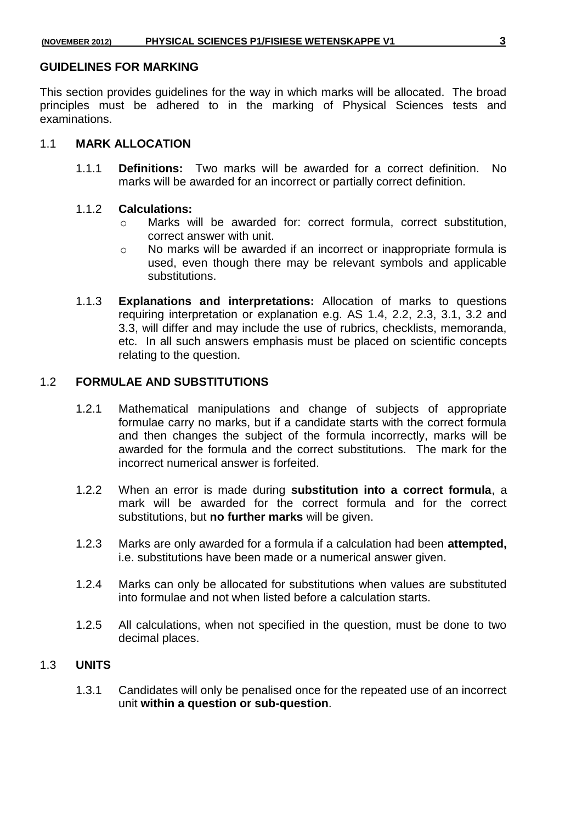#### **GUIDELINES FOR MARKING**

This section provides guidelines for the way in which marks will be allocated. The broad principles must be adhered to in the marking of Physical Sciences tests and examinations.

#### 1.1 **MARK ALLOCATION**

1.1.1 **Definitions:** Two marks will be awarded for a correct definition. No marks will be awarded for an incorrect or partially correct definition.

#### 1.1.2 **Calculations:**

- o Marks will be awarded for: correct formula, correct substitution, correct answer with unit.
- o No marks will be awarded if an incorrect or inappropriate formula is used, even though there may be relevant symbols and applicable substitutions.
- 1.1.3 **Explanations and interpretations:** Allocation of marks to questions requiring interpretation or explanation e.g. AS 1.4, 2.2, 2.3, 3.1, 3.2 and 3.3, will differ and may include the use of rubrics, checklists, memoranda, etc. In all such answers emphasis must be placed on scientific concepts relating to the question.

#### 1.2 **FORMULAE AND SUBSTITUTIONS**

- 1.2.1 Mathematical manipulations and change of subjects of appropriate formulae carry no marks, but if a candidate starts with the correct formula and then changes the subject of the formula incorrectly, marks will be awarded for the formula and the correct substitutions. The mark for the incorrect numerical answer is forfeited.
- 1.2.2 When an error is made during **substitution into a correct formula**, a mark will be awarded for the correct formula and for the correct substitutions, but **no further marks** will be given.
- 1.2.3 Marks are only awarded for a formula if a calculation had been **attempted,** i.e. substitutions have been made or a numerical answer given.
- 1.2.4 Marks can only be allocated for substitutions when values are substituted into formulae and not when listed before a calculation starts.
- 1.2.5 All calculations, when not specified in the question, must be done to two decimal places.

#### 1.3 **UNITS**

1.3.1 Candidates will only be penalised once for the repeated use of an incorrect unit **within a question or sub-question**.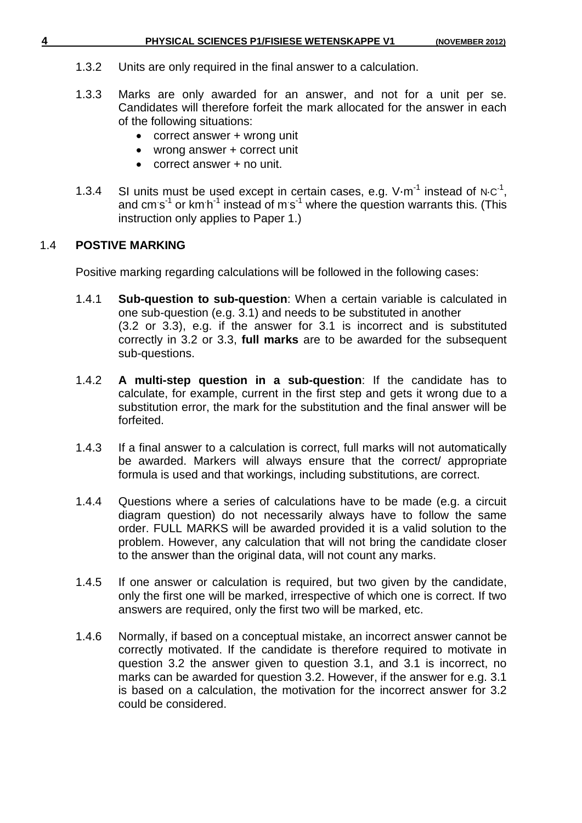- 1.3.2 Units are only required in the final answer to a calculation.
- 1.3.3 Marks are only awarded for an answer, and not for a unit per se. Candidates will therefore forfeit the mark allocated for the answer in each of the following situations:
	- correct answer + wrong unit
	- wrong answer + correct unit
	- correct answer + no unit.
- 1.3.4 SI units must be used except in certain cases, e.g. V $\cdot$ m<sup>-1</sup> instead of N⋅C<sup>-1</sup>, and cm s<sup>-1</sup> or km h<sup>-1</sup> instead of m s<sup>-1</sup> where the question warrants this. (This instruction only applies to Paper 1.)

### 1.4 **POSTIVE MARKING**

Positive marking regarding calculations will be followed in the following cases:

- 1.4.1 **Sub-question to sub-question**: When a certain variable is calculated in one sub-question (e.g. 3.1) and needs to be substituted in another (3.2 or 3.3), e.g. if the answer for 3.1 is incorrect and is substituted correctly in 3.2 or 3.3, **full marks** are to be awarded for the subsequent sub-questions.
- 1.4.2 **A multi-step question in a sub-question**: If the candidate has to calculate, for example, current in the first step and gets it wrong due to a substitution error, the mark for the substitution and the final answer will be forfeited.
- 1.4.3 If a final answer to a calculation is correct, full marks will not automatically be awarded. Markers will always ensure that the correct/ appropriate formula is used and that workings, including substitutions, are correct.
- 1.4.4 Questions where a series of calculations have to be made (e.g. a circuit diagram question) do not necessarily always have to follow the same order. FULL MARKS will be awarded provided it is a valid solution to the problem. However, any calculation that will not bring the candidate closer to the answer than the original data, will not count any marks.
- 1.4.5 If one answer or calculation is required, but two given by the candidate, only the first one will be marked, irrespective of which one is correct. If two answers are required, only the first two will be marked, etc.
- 1.4.6 Normally, if based on a conceptual mistake, an incorrect answer cannot be correctly motivated. If the candidate is therefore required to motivate in question 3.2 the answer given to question 3.1, and 3.1 is incorrect, no marks can be awarded for question 3.2. However, if the answer for e.g. 3.1 is based on a calculation, the motivation for the incorrect answer for 3.2 could be considered.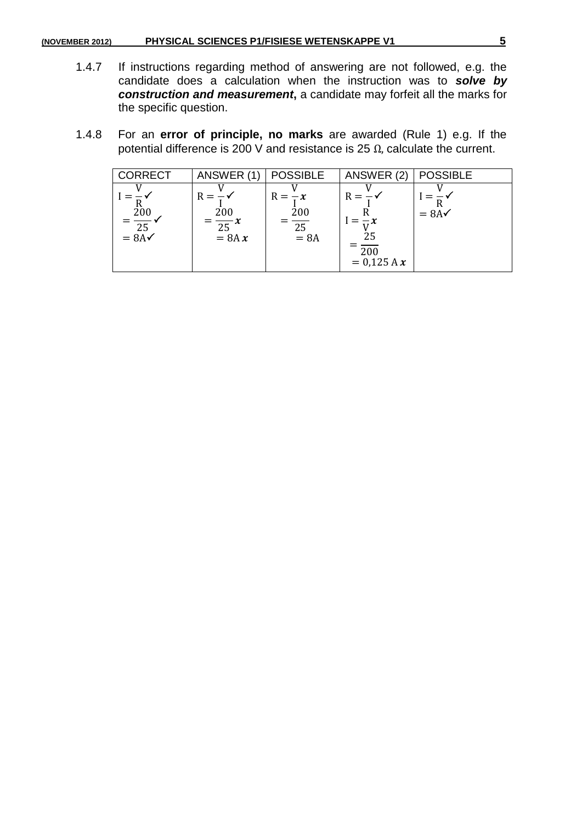#### **(NOVEMBER 2012) PHYSICAL SCIENCES P1/FISIESE WETENSKAPPE V1 5**

- 1.4.7 If instructions regarding method of answering are not followed, e.g. the candidate does a calculation when the instruction was to *solve by*  construction and measurement, a candidate may forfeit all the marks for the specific question.
- 1.4.8 For an **error of principle, no marks** are awarded (Rule 1) e.g. If the potential difference is 200 V and resistance is 25  $Ω$ , calculate the current.

| <b>CORRECT</b>                             | ANSWER (1)                                 | <b>POSSIBLE</b>                              | ANSWER (2)                    | <b>POSSIBLE</b>  |
|--------------------------------------------|--------------------------------------------|----------------------------------------------|-------------------------------|------------------|
| 200<br>$\overline{25}$<br>$= 8A\checkmark$ | $R =$<br>200<br>$=\frac{1}{25}x$<br>= 8A x | $R = -x$<br>200<br>$\overline{25}$<br>$= 8A$ | $R =$<br>200<br>$= 0.125 A x$ | $= 8A\checkmark$ |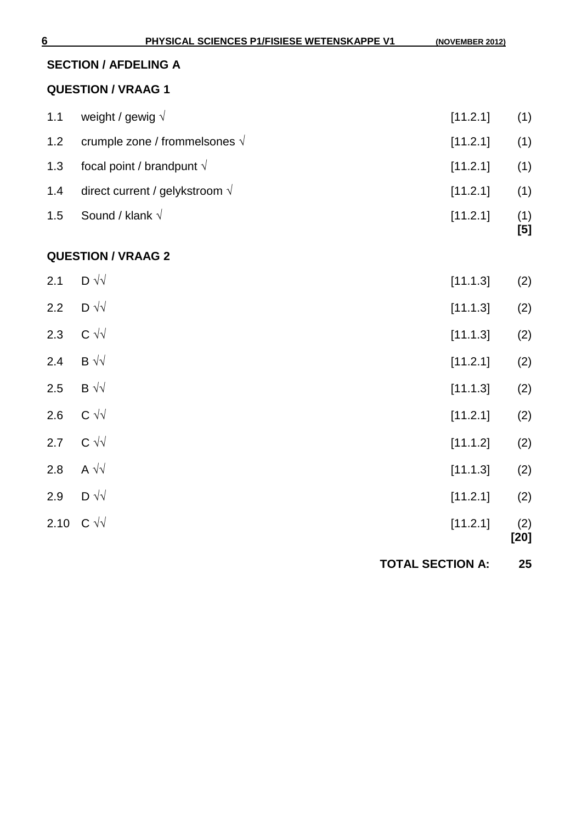|     | <b>SECTION / AFDELING A</b>            |                         |               |
|-----|----------------------------------------|-------------------------|---------------|
|     | <b>QUESTION / VRAAG 1</b>              |                         |               |
| 1.1 | weight / gewig $\sqrt{ }$              | [11.2.1]                | (1)           |
| 1.2 | crumple zone / frommelsones $\sqrt{}$  | [11.2.1]                | (1)           |
| 1.3 | focal point / brandpunt $\sqrt{}$      | [11.2.1]                | (1)           |
| 1.4 | direct current / gelykstroom $\sqrt{}$ | [11.2.1]                | (1)           |
| 1.5 | Sound / klank $\sqrt{}$                | [11.2.1]                | (1)<br>[5]    |
|     | <b>QUESTION / VRAAG 2</b>              |                         |               |
| 2.1 | $D \sqrt{v}$                           | [11.1.3]                | (2)           |
| 2.2 | $D \sqrt{v}$                           | [11.1.3]                | (2)           |
| 2.3 | $C \sqrt{v}$                           | [11.1.3]                | (2)           |
| 2.4 | $B \sqrt{v}$                           | [11.2.1]                | (2)           |
| 2.5 | $B \sqrt{v}$                           | [11.1.3]                | (2)           |
| 2.6 | $C \sqrt{v}$                           | [11.2.1]                | (2)           |
| 2.7 | $C \sqrt{v}$                           | [11.1.2]                | (2)           |
| 2.8 | A $\sqrt{\sqrt{2}}$                    | [11.1.3]                | (2)           |
|     | 2.9 $D \sqrt{v}$                       | [11.2.1]                | (2)           |
|     | 2.10 $C \sqrt{v}$                      | [11.2.1]                | (2)<br>$[20]$ |
|     |                                        | <b>TOTAL SECTION A:</b> | 25            |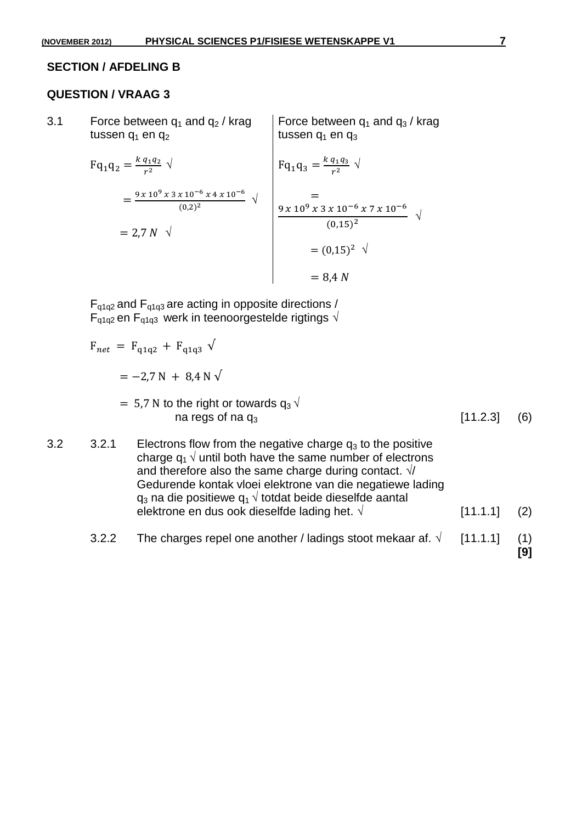#### **SECTION / AFDELING B**

#### **QUESTION / VRAAG 3**

3.1 Force between  $q_1$  and  $q_2$  / krag tussen  $q_1$  en  $q_2$ Force between  $q_1$  and  $q_3$  / krag tussen  $q_1$  en  $q_3$ 

$$
Fq_1q_2 = \frac{k q_1 q_2}{r^2} \sqrt{}
$$
  
=  $\frac{9 \times 10^9 \times 3 \times 10^{-6} \times 4 \times 10^{-6}}{(0.2)^2}$   
= 2,7 N  $\sqrt{}$   

$$
Fq_1q_3 = \frac{k q_1 q_3}{r^2} \sqrt{}
$$
  
=  $\frac{9 \times 10^9 \times 3 \times 10^{-6} \times 7 \times 10^{-6}}{(0.15)^2}$   
=  $(0,15)^2 \sqrt{}$   
= 8,4 N

 $F_{q1q2}$  and  $F_{q1q3}$  are acting in opposite directions /  $F_{q1q2}$  en  $F_{q1q3}$  werk in teenoorgestelde rigtings  $\sqrt{ }$ 

 $F_{net}$  =  $F_{q1q2}$  +  $F_{q1q3}$   $\sqrt{ }$ 

$$
= -2.7 N + 8.4 N \sqrt{}
$$

- $= 5.7$  N to the right or towards  $q_3 \sqrt{ }$ na regs of na  $q_3$  [11.2.3] (6)
- 3.2  $3.2 \cdot 3.2.1$  Electrons flow from the negative charge  $q_3$  to the positive charge  $q_1 \sqrt{ }$  until both have the same number of electrons and therefore also the same charge during contact.  $\sqrt{ }$ Gedurende kontak vloei elektrone van die negatiewe lading  $q_3$  na die positiewe  $q_1 \sqrt{\ }$  totdat beide dieselfde aantal elektrone en dus ook dieselfde lading het.  $\sqrt{2}$  [11.1.1] (2)
	- 3.2.2 The charges repel one another / ladings stoot mekaar af.  $\sqrt{11.1.1}$  (1)

**[9]**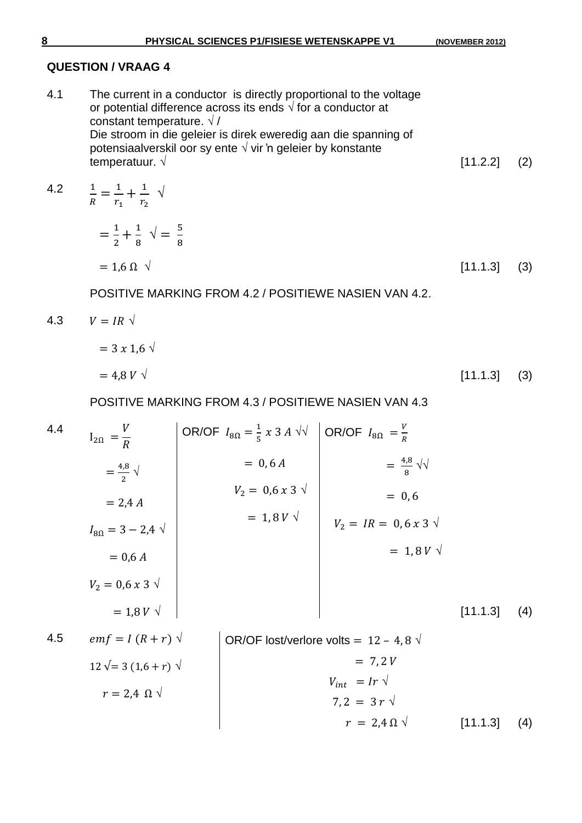$r = 2,4 \Omega \sqrt{11.1.3}$  (4)

#### **QUESTION / VRAAG 4**

4.1 The current in a conductor is directly proportional to the voltage or potential difference across its ends  $\sqrt{ }$  for a conductor at constant temperature.  $\sqrt{}/$ Die stroom in die geleier is direk eweredig aan die spanning of potensiaalverskil oor sy ente √ vir 'n geleier by konstante temperatuur.  $\sqrt{2}$  [11.2.2] (2)

4.2  $\frac{1}{R} = \frac{1}{r_1}$  $\frac{1}{r_1} + \frac{1}{r_2}$  $\frac{1}{r_2}$   $\sqrt{ }$  $\mathbf{1}$  $\frac{1}{2} + \frac{1}{8}$  $\frac{1}{8}$   $\sqrt{2} = \frac{5}{8}$ 8  $= 1.6 \Omega \sqrt{3}$  (3)

POSITIVE MARKING FROM 4.2 / POSITIEWE NASIEN VAN 4.2.

$$
4.3 \qquad V = IR \quad \sqrt{}
$$
\n
$$
= 3 \times 1.6 \quad \sqrt{}
$$
\n
$$
= 4.8 \quad V \quad \sqrt{}
$$
\n
$$
[11.1.3] \quad (3)
$$

POSITIVE MARKING FROM 4.3 / POSITIEWE NASIEN VAN 4.3

4.4  
\n
$$
I_{2\Omega} = \frac{V}{R}
$$
\n
$$
= \frac{4.8}{2} \sqrt{}
$$
\n
$$
= 2.4 A
$$
\n
$$
I_{8\Omega} = 3 - 2.4 \sqrt{}
$$
\n
$$
= 0,6 A
$$
\n
$$
V_2 = 0.6 x 3 \sqrt{}
$$
\n
$$
= 1,8 V \sqrt{}
$$
\n
$$
= 1,8 V \sqrt{}
$$
\n4.5  
\n
$$
emf = I (R + r) \sqrt{}
$$
\n
$$
= 2.4 \Omega \sqrt{}
$$
\n
$$
V_1 = 2.4 \Omega \sqrt{}
$$
\n
$$
V_2 = 3 (1.6 + r) \sqrt{}
$$
\n
$$
V_3 = 3 - 2.4 \sqrt{}
$$
\n
$$
V_4 = 12 - 4.8 \sqrt{}
$$
\n
$$
V_{10t} = 17 \sqrt{}
$$
\n
$$
V_{21} = 3 r \sqrt{}
$$
\n
$$
V_{11} = Ir \sqrt{}
$$
\n
$$
V_{12} = 3 r \sqrt{}
$$
\n
$$
V_{11} = 1 r \sqrt{}
$$
\n
$$
V_{12} = 3 r \sqrt{}
$$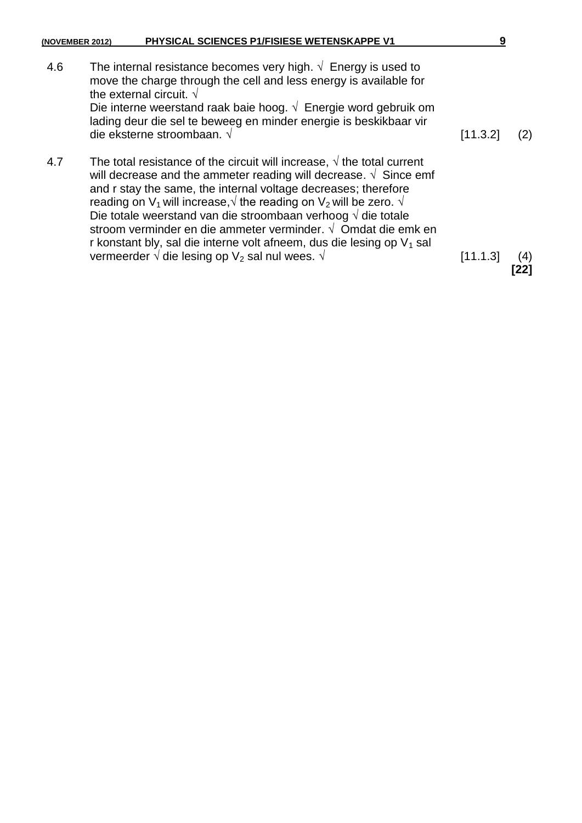| (NOVEMBER 2012) | PHYSICAL SCIENCES P1/FISIESE WETENSKAPPE V1                                                                                                                                                                                                                                                                                                                                                                                                                                                                                                                                                                                          | 9        |                   |
|-----------------|--------------------------------------------------------------------------------------------------------------------------------------------------------------------------------------------------------------------------------------------------------------------------------------------------------------------------------------------------------------------------------------------------------------------------------------------------------------------------------------------------------------------------------------------------------------------------------------------------------------------------------------|----------|-------------------|
| 4.6             | The internal resistance becomes very high. $\sqrt{\ }$ Energy is used to<br>move the charge through the cell and less energy is available for<br>the external circuit. $\sqrt{ }$<br>Die interne weerstand raak baie hoog. $\sqrt{ }$ Energie word gebruik om<br>lading deur die sel te beweeg en minder energie is beskikbaar vir<br>die eksterne stroombaan. $\sqrt{ }$                                                                                                                                                                                                                                                            | [11.3.2] |                   |
| 4.7             | The total resistance of the circuit will increase, $\sqrt{ }$ the total current<br>will decrease and the ammeter reading will decrease. $\sqrt{ }$ Since emf<br>and r stay the same, the internal voltage decreases; therefore<br>reading on $V_1$ will increase, $\sqrt{}$ the reading on $V_2$ will be zero. $\sqrt{}$<br>Die totale weerstand van die stroombaan verhoog $\sqrt{ }$ die totale<br>stroom verminder en die ammeter verminder. $\sqrt{ }$ Omdat die emk en<br>r konstant bly, sal die interne volt afneem, dus die lesing op $V_1$ sal<br>vermeerder $\sqrt{ }$ die lesing op $\sqrt{ }_2$ sal nul wees. $\sqrt{ }$ | [11.1.3] | $\left( 4\right)$ |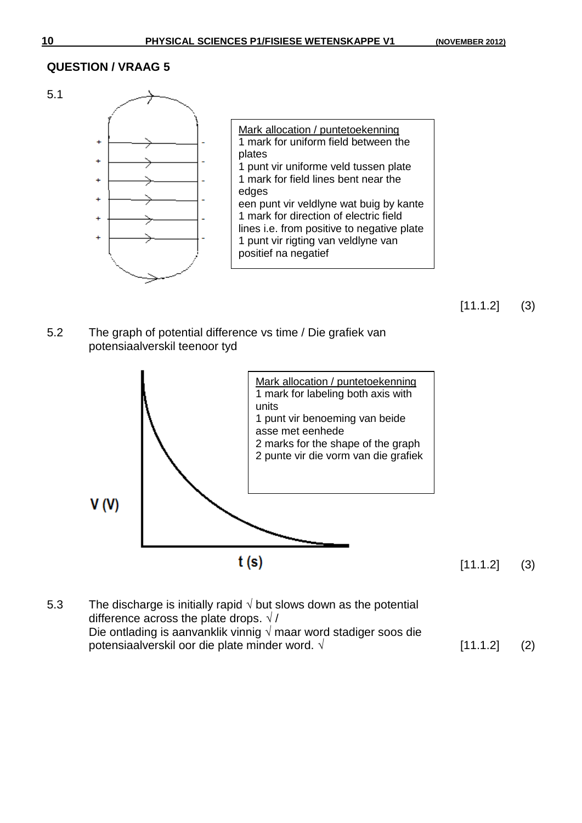



5.2 The graph of potential difference vs time / Die grafiek van potensiaalverskil teenoor tyd



5.3 The discharge is initially rapid  $\sqrt{2}$  but slows down as the potential difference across the plate drops.  $\sqrt{}/$ Die ontlading is aanvanklik vinnig  $\sqrt{ }$  maar word stadiger soos die potensiaalverskil oor die plate minder word. √  $[11.1.2]$  (2)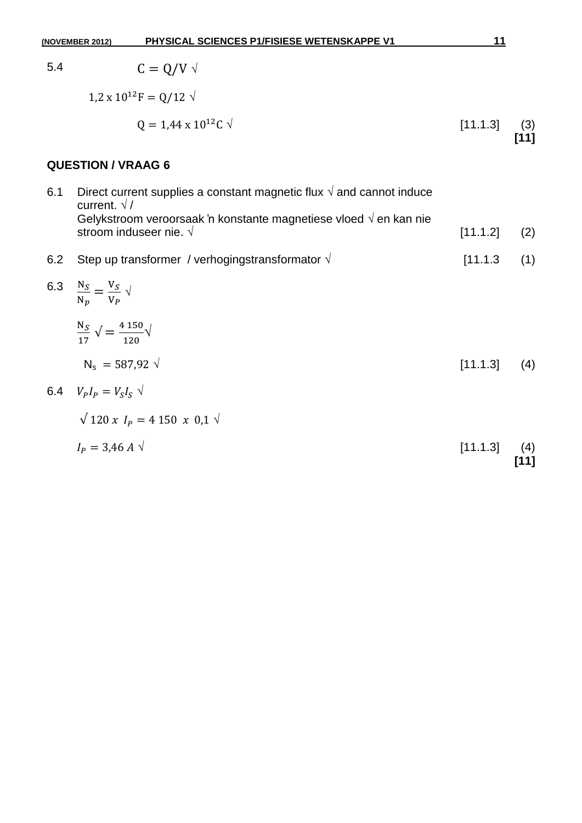|     | PHYSICAL SCIENCES P1/FISIESE WETENSKAPPE V1<br>(NOVEMBER 2012)                                                | 11       |             |
|-----|---------------------------------------------------------------------------------------------------------------|----------|-------------|
| 5.4 | $C = Q/V$ $\sqrt{ }$                                                                                          |          |             |
|     | $1.2 \times 10^{12}$ F = Q/12 $\sqrt{ }$                                                                      |          |             |
|     | $0 = 1.44 \times 10^{12}$ C $\sqrt{ }$                                                                        | [11.1.3] | (3)<br>[11] |
|     | <b>QUESTION / VRAAG 6</b>                                                                                     |          |             |
| 6.1 | Direct current supplies a constant magnetic flux $\sqrt{ }$ and cannot induce<br>current. $\sqrt{/}$          |          |             |
|     | Gelykstroom veroorsaak 'n konstante magnetiese vloed $\sqrt{ }$ en kan nie<br>stroom induseer nie. $\sqrt{ }$ | [11.1.2] | (2)         |
| 6.2 | Step up transformer / verhogingstransformator $\sqrt{ }$                                                      | [11.1.3] | (1)         |
|     | 6.3 $\frac{N_S}{N_p} = \frac{V_S}{V_P} \sqrt{\frac{V_S}{V_P}}$                                                |          |             |
|     | $\frac{N_S}{17}$ $\sqrt{\frac{4.150}{120}}$                                                                   |          |             |
|     | $N_s = 587.92 \sqrt{ }$                                                                                       | [11.1.3] | (4)         |
|     | 6.4 $V_{p}I_{p} = V_{S}I_{S}$ $\sqrt{ }$                                                                      |          |             |
|     | $\sqrt{120 x} I_p = 4150 x 0,1 \sqrt{1}$                                                                      |          |             |
|     | $I_{\rm p} = 3.46 A \sqrt{ }$                                                                                 | [11.1.3] | (4)<br>[11] |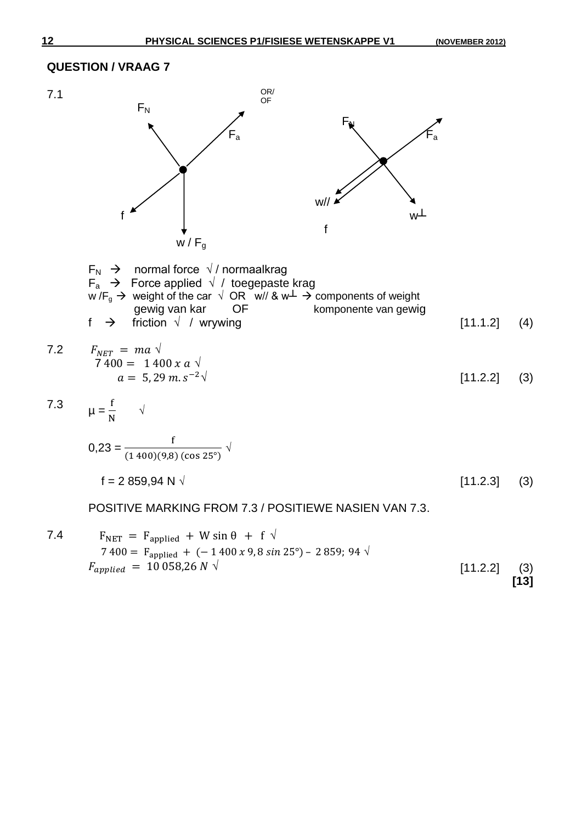**[13]**



#### **QUESTION / VRAAG 7**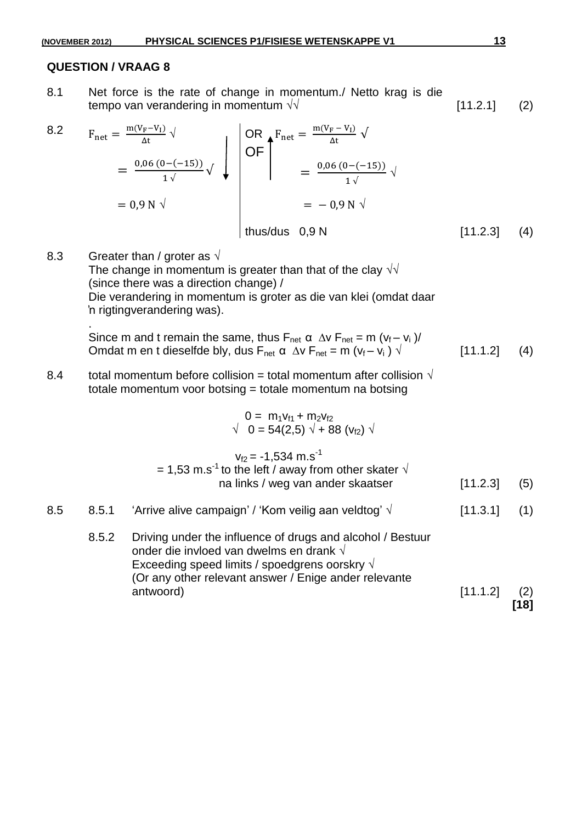8.1 Net force is the rate of change in momentum./ Netto krag is die tempo van verandering in momentum  $\sqrt{}$  [11.2.1] (2)

 8.2 √ OR OF , , √ , √ , √ thus/dus 0,9 N [11.2.3] (4) 

8.3 Greater than / groter as  $\sqrt{ }$ The change in momentum is greater than that of the clay  $\sqrt{\sqrt{2}}$ (since there was a direction change) / Die verandering in momentum is groter as die van klei (omdat daar 'n rigtingverandering was). .

Since m and t remain the same, thus  $F_{net} \alpha \Delta v F_{net} = m (v_f - v_i)/$ Omdat m en t dieselfde bly, dus F<sub>net</sub>  $\alpha \stackrel{\cdots}{\Delta V}F_{\text{net}} = m (v_f - v_i) \stackrel{\cdots}{\sqrt{2}}$  [11.1.2] (4)

8.4 total momentum before collision = total momentum after collision  $\sqrt{ }$ totale momentum voor botsing = totale momentum na botsing

$$
0 = m_1v_{f1} + m_2v_{f2}
$$
\n
$$
\sqrt{0} = 54(2,5) \sqrt{+88} (v_{f2}) \sqrt{}
$$
\n
$$
v_{f2} = -1,534 \text{ m.s}^{-1}
$$
\n
$$
= 1,53 \text{ m.s}^{-1} \text{ to the left / away from other skater } \sqrt{\text{na links / weg van ander skaatser}}
$$
\n
$$
= 8.5.1 \quad \text{ 'Arrive alive campaign' / 'Kom veilig aan veldtog' } \sqrt{\text{[11.3.1] (1)}}
$$
\n
$$
= 8.5.2 \quad \text{Driving under the influence of drugs and alcohol / Bestuur order die invloed van dwelms en Frank } \sqrt{\text{Exceeding speed limits / speedgress oorskry } \sqrt{\text{[11.3.1] (1)}}
$$

(Or any other relevant answer / Enige ander relevante antwoord) [11.1.2] (2)

**[18]**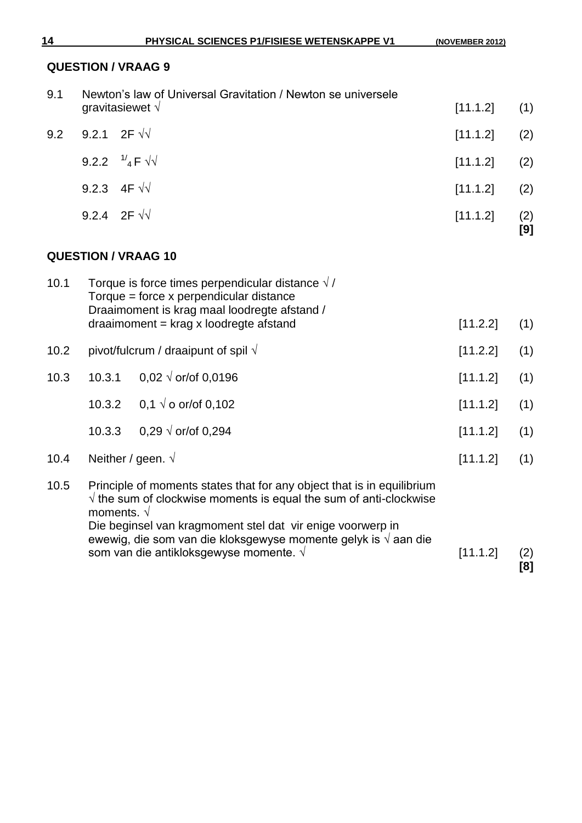**[8]**

#### **QUESTION / VRAAG 9**

| 9.1                        |  | Newton's law of Universal Gravitation / Newton se universele                                                                                                                                           |          |            |
|----------------------------|--|--------------------------------------------------------------------------------------------------------------------------------------------------------------------------------------------------------|----------|------------|
|                            |  | gravitasiewet $\sqrt{ }$                                                                                                                                                                               | [11.1.2] | (1)        |
| 9.2                        |  | 9.2.1 2F $\sqrt{2}$                                                                                                                                                                                    | [11.1.2] | (2)        |
|                            |  | 9.2.2 $\frac{1}{4}$ F $\sqrt{1}$                                                                                                                                                                       | [11.1.2] | (2)        |
|                            |  | 9.2.3 4F $\sqrt{2}$                                                                                                                                                                                    | [11.1.2] | (2)        |
|                            |  | 9.2.4 2F $\sqrt{2}$                                                                                                                                                                                    | [11.1.2] | (2)<br>[9] |
| <b>QUESTION / VRAAG 10</b> |  |                                                                                                                                                                                                        |          |            |
| 10.1                       |  | Torque is force times perpendicular distance $\sqrt{7}$<br>$Torque = force \times perpendicular distance$<br>Draaimoment is krag maal loodregte afstand /<br>$d$ raaimoment = krag x loodregte afstand | [11.2.2] | (1)        |
|                            |  |                                                                                                                                                                                                        |          |            |
| 10.2                       |  | pivot/fulcrum / draaipunt of spil $\sqrt{ }$                                                                                                                                                           | [11.2.2] | (1)        |

10.3 10.3.1 0,02  $\sqrt{$  or/of 0,0196  $\sqrt{ }$  [11.1.2] (1) 10.3.2 0,1  $\sqrt{ }$  o or/of 0,102 [11.1.2] (1) 10.3.3 0,29  $\sqrt{$  or/of 0,294 [11.1.2] (1) 10.4 Neither / geen.  $\sqrt{ }$  (1) 10.5 Principle of moments states that for any object that is in equilibrium √ the sum of clockwise moments is equal the sum of anti-clockwise moments. √ Die beginsel van kragmoment stel dat vir enige voorwerp in ewewig, die som van die kloksgewyse momente gelyk is  $\sqrt{a}$ aan die som van die antikloksgewyse momente. √ in the som van die antikloksgewyse momente. √ in the factor (2)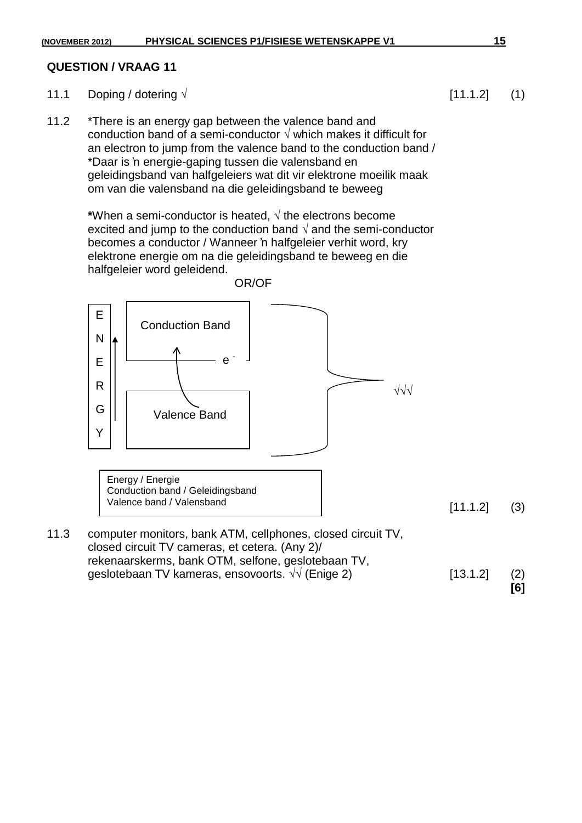- 11.1 Doping / dotering  $\sqrt{ }$  [11.1.2] (1)
- 11.2 \*There is an energy gap between the valence band and conduction band of a semi-conductor  $\sqrt{ }$  which makes it difficult for an electron to jump from the valence band to the conduction band / \*Daar is 'n energie-gaping tussen die valensband en geleidingsband van halfgeleiers wat dit vir elektrone moeilik maak om van die valensband na die geleidingsband te beweeg

**\***When a semi-conductor is heated, √ the electrons become excited and jump to the conduction band  $\sqrt{ }$  and the semi-conductor becomes a conductor / Wanneer 'n halfgeleier verhit word, kry elektrone energie om na die geleidingsband te beweeg en die halfgeleier word geleidend.



Energy / Energie Conduction band / Geleidingsband Valence band / Valensband

 $[11.1.2] (3)$ 

11.3 computer monitors, bank ATM, cellphones, closed circuit TV, closed circuit TV cameras, et cetera. (Any 2)/ rekenaarskerms, bank OTM, selfone, geslotebaan TV, qeslotebaan TV kameras, ensovoorts.  $\sqrt{}$  (Enige 2) [13.1.2] (2) **[6]**

OR/OF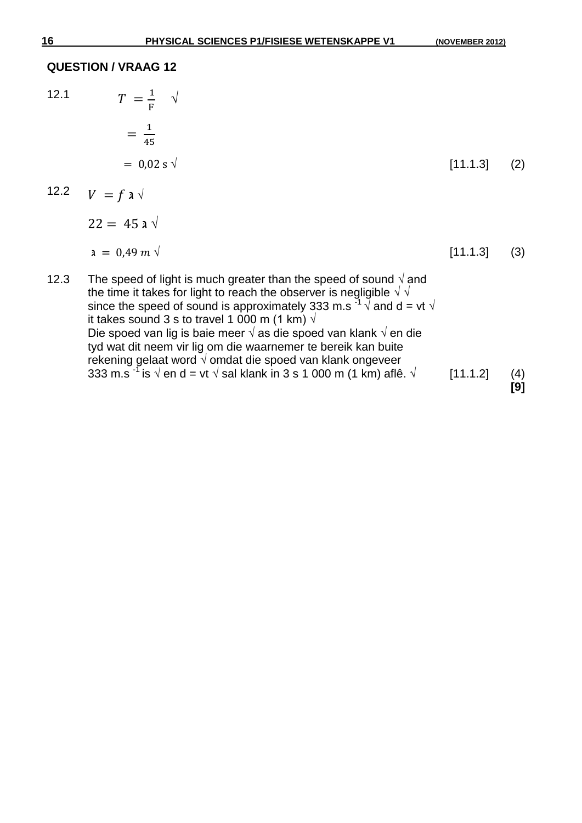|      | <b>QUESTION / VRAAG 12</b>   |          |     |
|------|------------------------------|----------|-----|
| 12.1 | $T = \frac{1}{F}$ $\sqrt{2}$ |          |     |
|      | $=\frac{1}{45}$              |          |     |
|      | $= 0.02$ s $\sqrt{ }$        | [11.1.3] | (2) |
| .    |                              |          |     |

12.2 
$$
V = f \mathbf{a} \sqrt{}
$$

 $22 = 45 \text{ a } \sqrt{ }$ 

$$
a = 0.49 \, m \sqrt{3}
$$
 (3)

12.3 The speed of light is much greater than the speed of sound  $\sqrt{ }$  and the time it takes for light to reach the observer is negligible  $\sqrt{\sqrt{2}}$ since the speed of sound is approximately 333 m.s  $\frac{3}{1}$   $\sqrt{ }$  and d = vt  $\sqrt{ }$ it takes sound 3 s to travel 1 000 m (1 km)  $\sqrt{ }$ Die spoed van lig is baie meer √ as die spoed van klank √ en die tyd wat dit neem vir lig om die waarnemer te bereik kan buite rekening gelaat word √ omdat die spoed van klank ongeveer 333 m.s  $\frac{333 \text{ m.s}}{1}$  is  $\sqrt{\text{ en d}} = \text{vt} \sqrt{\text{ sal klank} \cdot \text{in} 3 \text{ s}} 1 000 \text{ m} (1 \text{ km}) \text{ af} 1 \text{ s}$ .  $\sqrt{\text{f } (11.1.2)}$  (4) **[9]**